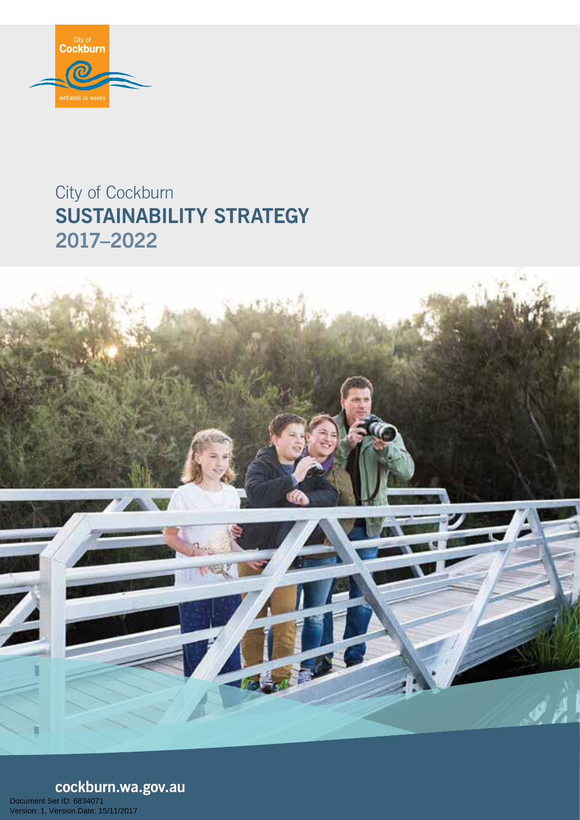

### City of Cockburn **SUSTAINABILITY STRATEGY 2017–2022**



**cockburn.wa.gov.au**

Document Set ID: 6834071<br>Version: 1, Version Date: 15/11/2017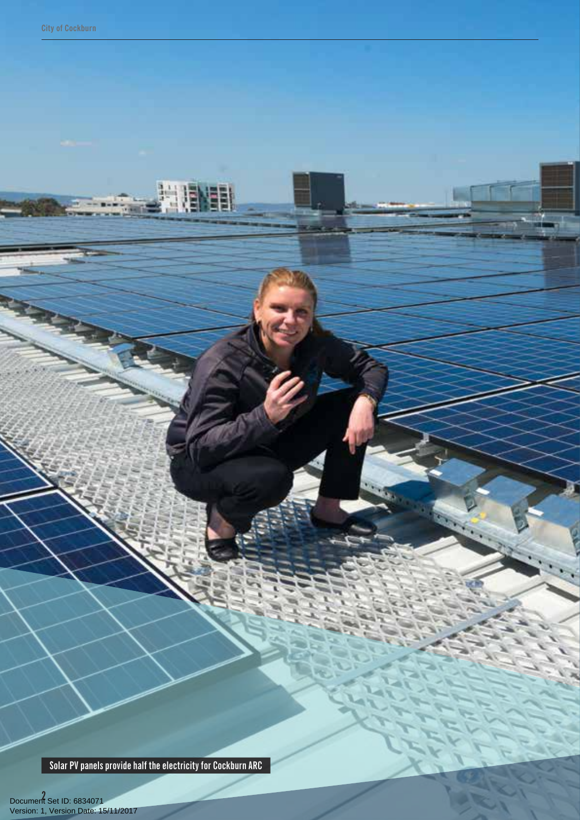Solar PV panels provide half the electricity for Cockburn ARC

糖调

**2**<br>Document Set ID: 6834071<br>Version: 1, Version Date: 15/11/2017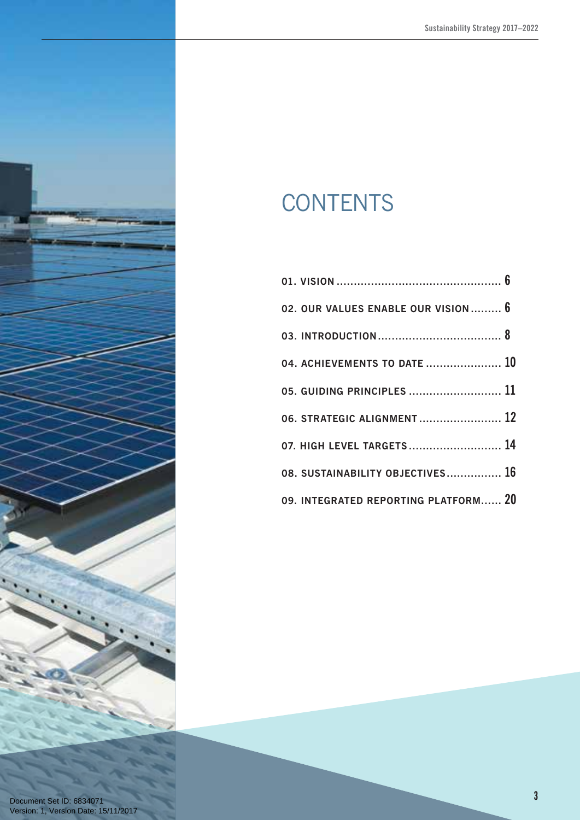# **CONTENTS**

| 02. OUR VALUES ENABLE OUR VISION  6  |  |
|--------------------------------------|--|
|                                      |  |
| 04. ACHIEVEMENTS TO DATE  10         |  |
| 05. GUIDING PRINCIPLES  11           |  |
| 06. STRATEGIC ALIGNMENT 12           |  |
| 07. HIGH LEVEL TARGETS  14           |  |
| 08. SUSTAINABILITY OBJECTIVES 16     |  |
| 09. INTEGRATED REPORTING PLATFORM 20 |  |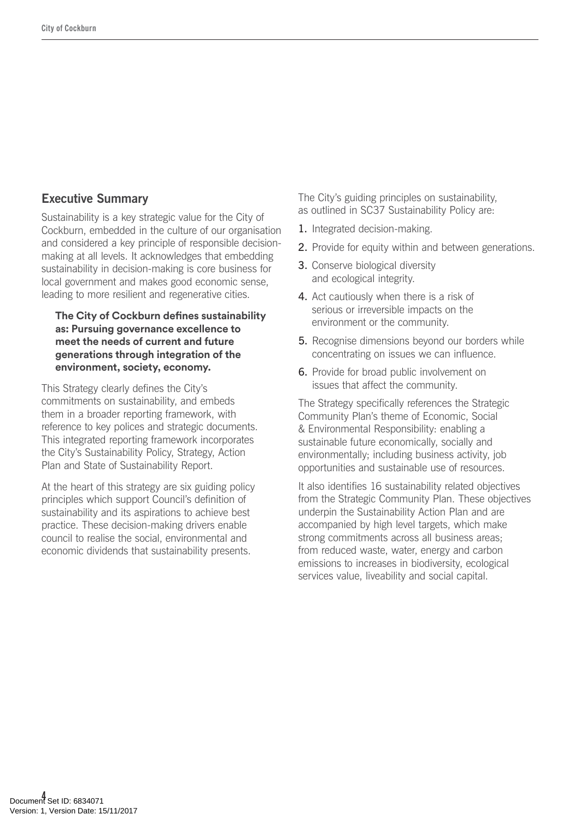#### **Executive Summary**

Sustainability is a key strategic value for the City of Cockburn, embedded in the culture of our organisation and considered a key principle of responsible decisionmaking at all levels. It acknowledges that embedding sustainability in decision-making is core business for local government and makes good economic sense, leading to more resilient and regenerative cities.

#### **The City of Cockburn defines sustainability as: Pursuing governance excellence to meet the needs of current and future generations through integration of the environment, society, economy.**

This Strategy clearly defines the City's commitments on sustainability, and embeds them in a broader reporting framework, with reference to key polices and strategic documents. This integrated reporting framework incorporates the City's Sustainability Policy, Strategy, Action Plan and State of Sustainability Report.

At the heart of this strategy are six guiding policy principles which support Council's definition of sustainability and its aspirations to achieve best practice. These decision-making drivers enable council to realise the social, environmental and economic dividends that sustainability presents.

The City's guiding principles on sustainability, as outlined in SC37 Sustainability Policy are:

- 1. Integrated decision-making.
- 2. Provide for equity within and between generations.
- 3. Conserve biological diversity and ecological integrity.
- 4. Act cautiously when there is a risk of serious or irreversible impacts on the environment or the community.
- 5. Recognise dimensions beyond our borders while concentrating on issues we can influence.
- 6. Provide for broad public involvement on issues that affect the community.

The Strategy specifically references the Strategic Community Plan's theme of Economic, Social & Environmental Responsibility: enabling a sustainable future economically, socially and environmentally; including business activity, job opportunities and sustainable use of resources.

It also identifies 16 sustainability related objectives from the Strategic Community Plan. These objectives underpin the Sustainability Action Plan and are accompanied by high level targets, which make strong commitments across all business areas; from reduced waste, water, energy and carbon emissions to increases in biodiversity, ecological services value, liveability and social capital.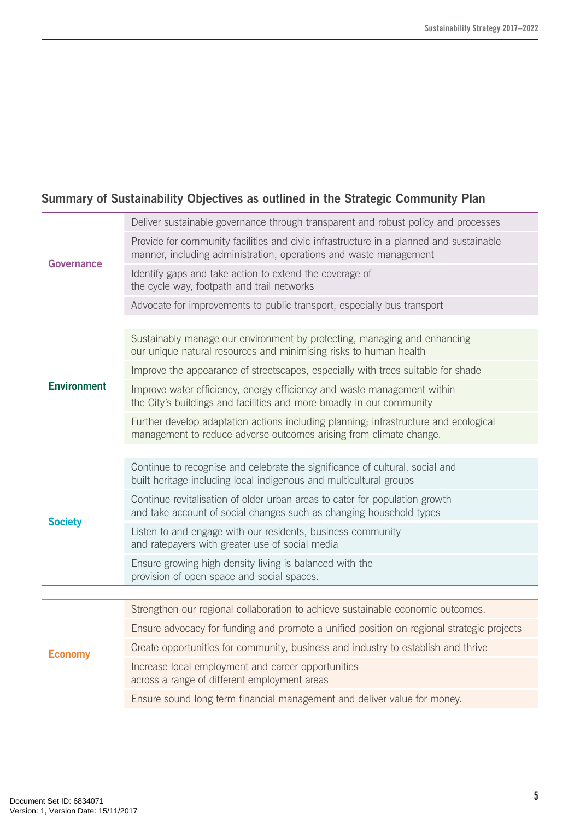### **Summary of Sustainability Objectives as outlined in the Strategic Community Plan**

| Governance         | Provide for community facilities and civic infrastructure in a planned and sustainable<br>manner, including administration, operations and waste management |
|--------------------|-------------------------------------------------------------------------------------------------------------------------------------------------------------|
|                    | Identify gaps and take action to extend the coverage of<br>the cycle way, footpath and trail networks                                                       |
|                    | Advocate for improvements to public transport, especially bus transport                                                                                     |
|                    |                                                                                                                                                             |
|                    | Sustainably manage our environment by protecting, managing and enhancing<br>our unique natural resources and minimising risks to human health               |
|                    | Improve the appearance of streetscapes, especially with trees suitable for shade                                                                            |
| <b>Environment</b> | Improve water efficiency, energy efficiency and waste management within<br>the City's buildings and facilities and more broadly in our community            |
|                    | Further develop adaptation actions including planning; infrastructure and ecological<br>management to reduce adverse outcomes arising from climate change.  |
|                    |                                                                                                                                                             |
|                    |                                                                                                                                                             |
|                    | Continue to recognise and celebrate the significance of cultural, social and<br>built heritage including local indigenous and multicultural groups          |
|                    | Continue revitalisation of older urban areas to cater for population growth<br>and take account of social changes such as changing household types          |
| <b>Society</b>     | Listen to and engage with our residents, business community<br>and ratepayers with greater use of social media                                              |
|                    | Ensure growing high density living is balanced with the<br>provision of open space and social spaces.                                                       |
|                    |                                                                                                                                                             |
|                    | Strengthen our regional collaboration to achieve sustainable economic outcomes.                                                                             |
|                    | Ensure advocacy for funding and promote a unified position on regional strategic projects                                                                   |
|                    | Create opportunities for community, business and industry to establish and thrive                                                                           |
| <b>Economy</b>     | Increase local employment and career opportunities<br>across a range of different employment areas                                                          |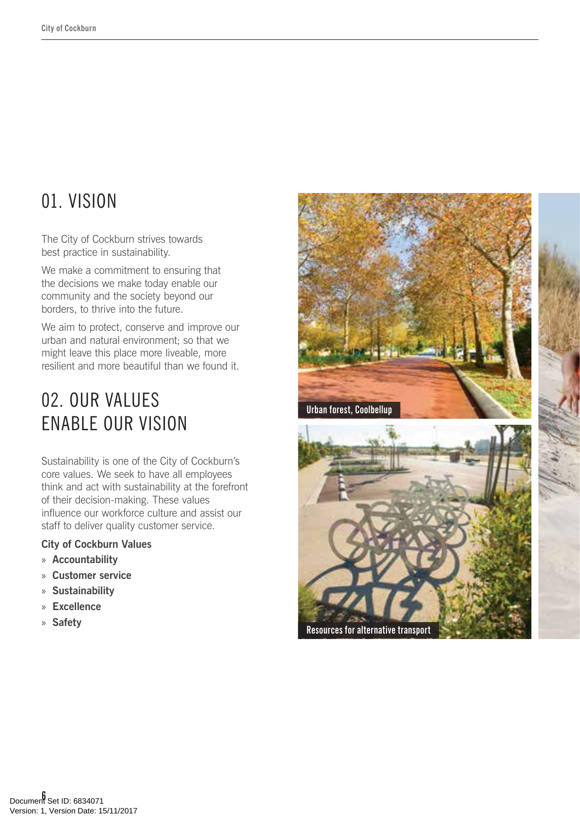### <span id="page-5-0"></span>01. VISION

The City of Cockburn strives towards best practice in sustainability.

We make a commitment to ensuring that the decisions we make today enable our community and the society beyond our borders, to thrive into the future.

We aim to protect, conserve and improve our urban and natural environment; so that we might leave this place more liveable, more resilient and more beautiful than we found it.

### 02 OUR VALUES ENABLE OUR VISION

Sustainability is one of the City of Cockburn's core values. We seek to have all employees think and act with sustainability at the forefront of their decision-making. These values influence our workforce culture and assist our staff to deliver quality customer service.

#### **City of Cockburn Values**

- » **Accountability**
- » **Customer service**
- » **Sustainability**
- » **Excellence**
- » **Safety**

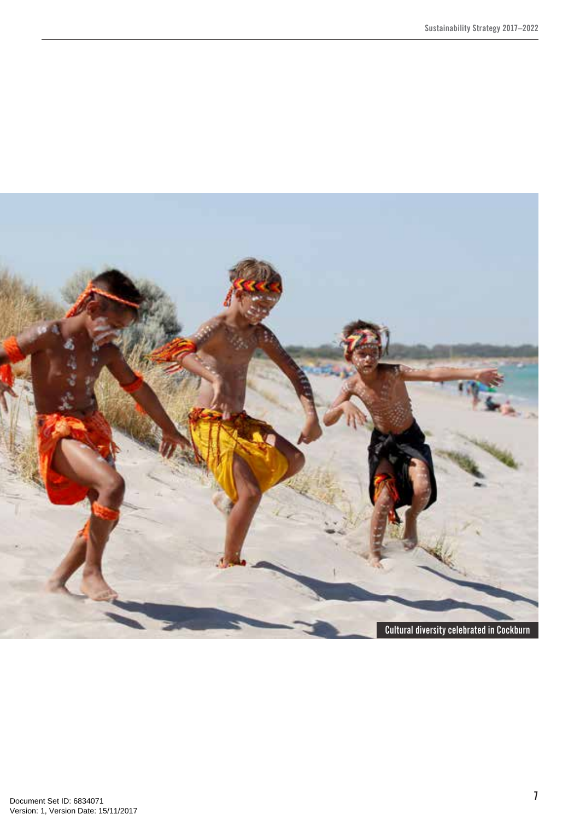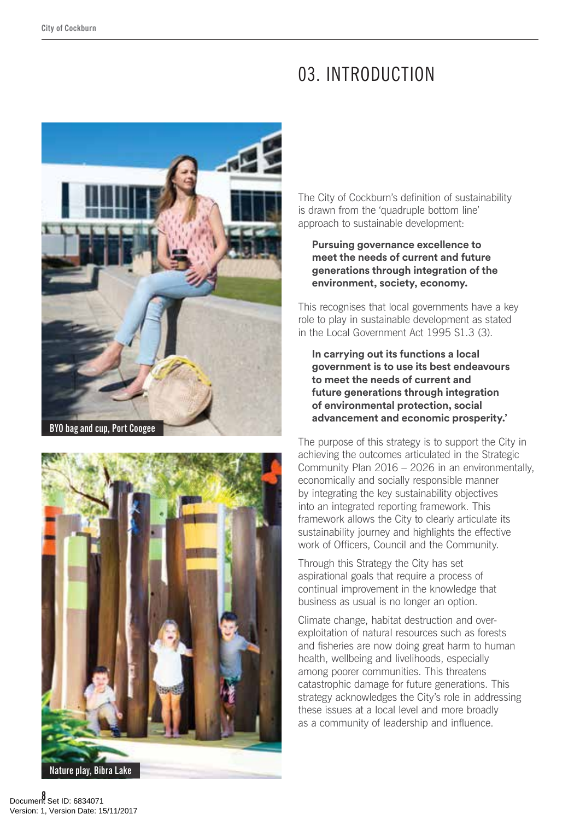BYO bag and cup, Port Coogee



### <span id="page-7-0"></span>03. INTRODUCTION

The City of Cockburn's definition of sustainability is drawn from the 'quadruple bottom line' approach to sustainable development:

#### **Pursuing governance excellence to meet the needs of current and future generations through integration of the environment, society, economy.**

This recognises that local governments have a key role to play in sustainable development as stated in the Local Government Act 1995 S1.3 (3).

**In carrying out its functions a local government is to use its best endeavours to meet the needs of current and future generations through integration of environmental protection, social advancement and economic prosperity.'**

The purpose of this strategy is to support the City in achieving the outcomes articulated in the Strategic Community Plan 2016 – 2026 in an environmentally, economically and socially responsible manner by integrating the key sustainability objectives into an integrated reporting framework. This framework allows the City to clearly articulate its sustainability journey and highlights the effective work of Officers, Council and the Community.

Through this Strategy the City has set aspirational goals that require a process of continual improvement in the knowledge that business as usual is no longer an option.

Climate change, habitat destruction and overexploitation of natural resources such as forests and fisheries are now doing great harm to human health, wellbeing and livelihoods, especially among poorer communities. This threatens catastrophic damage for future generations. This strategy acknowledges the City's role in addressing these issues at a local level and more broadly as a community of leadership and influence.

**Document Set ID: 6834071** Version: 1, Version Date: 15/11/2017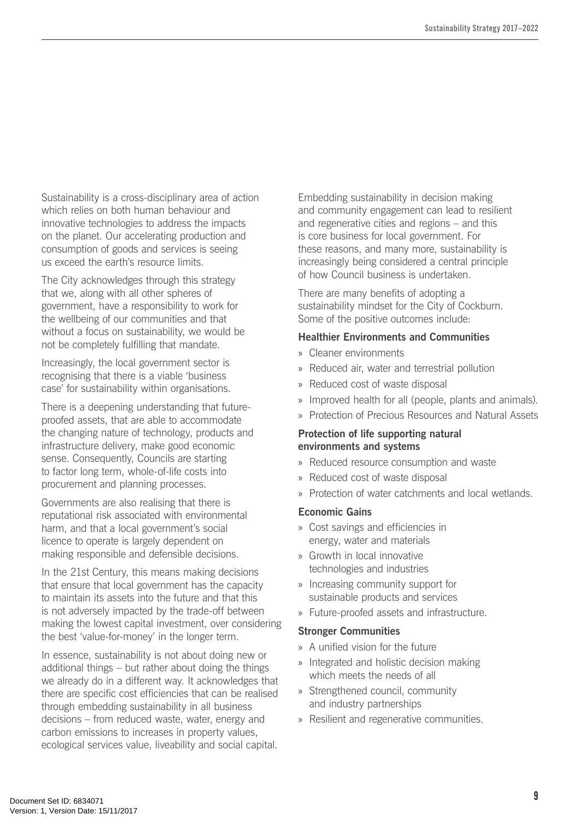Sustainability is a cross-disciplinary area of action which relies on both human behaviour and innovative technologies to address the impacts on the planet. Our accelerating production and consumption of goods and services is seeing us exceed the earth's resource limits.

The City acknowledges through this strategy that we, along with all other spheres of government, have a responsibility to work for the wellbeing of our communities and that without a focus on sustainability, we would be not be completely fulfilling that mandate.

Increasingly, the local government sector is recognising that there is a viable 'business case' for sustainability within organisations.

There is a deepening understanding that futureproofed assets, that are able to accommodate the changing nature of technology, products and infrastructure delivery, make good economic sense. Consequently, Councils are starting to factor long term, whole-of-life costs into procurement and planning processes.

Governments are also realising that there is reputational risk associated with environmental harm, and that a local government's social licence to operate is largely dependent on making responsible and defensible decisions.

In the 21st Century, this means making decisions that ensure that local government has the capacity to maintain its assets into the future and that this is not adversely impacted by the trade-off between making the lowest capital investment, over considering the best 'value-for-money' in the longer term.

In essence, sustainability is not about doing new or additional things – but rather about doing the things we already do in a different way. It acknowledges that there are specific cost efficiencies that can be realised through embedding sustainability in all business decisions – from reduced waste, water, energy and carbon emissions to increases in property values, ecological services value, liveability and social capital.

Embedding sustainability in decision making and community engagement can lead to resilient and regenerative cities and regions – and this is core business for local government. For these reasons, and many more, sustainability is increasingly being considered a central principle of how Council business is undertaken.

There are many benefits of adopting a sustainability mindset for the City of Cockburn. Some of the positive outcomes include:

#### **Healthier Environments and Communities**

- » Cleaner environments
- » Reduced air, water and terrestrial pollution
- » Reduced cost of waste disposal
- » Improved health for all (people, plants and animals).
- » Protection of Precious Resources and Natural Assets

#### **Protection of life supporting natural environments and systems**

- » Reduced resource consumption and waste
- » Reduced cost of waste disposal
- » Protection of water catchments and local wetlands.

#### **Economic Gains**

- » Cost savings and efficiencies in energy, water and materials
- » Growth in local innovative technologies and industries
- » Increasing community support for sustainable products and services
- » Future-proofed assets and infrastructure.

#### **Stronger Communities**

- » A unified vision for the future
- » Integrated and holistic decision making which meets the needs of all
- » Strengthened council, community and industry partnerships
- » Resilient and regenerative communities.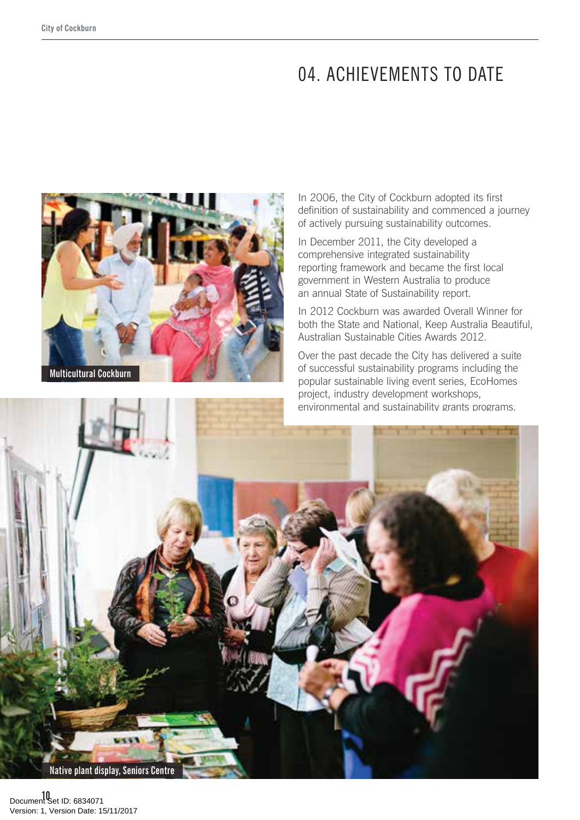### 04. ACHIEVEMENTS TO DATE

<span id="page-9-0"></span>

In 2006, the City of Cockburn adopted its first definition of sustainability and commenced a journey of actively pursuing sustainability outcomes.

In December 2011, the City developed a comprehensive integrated sustainability reporting framework and became the first local government in Western Australia to produce an annual State of Sustainability report.

In 2012 Cockburn was awarded Overall Winner for both the State and National, Keep Australia Beautiful, Australian Sustainable Cities Awards 2012.

Over the past decade the City has delivered a suite of successful sustainability programs including the popular sustainable living event series, EcoHomes project, industry development workshops, environmental and sustainability grants programs.

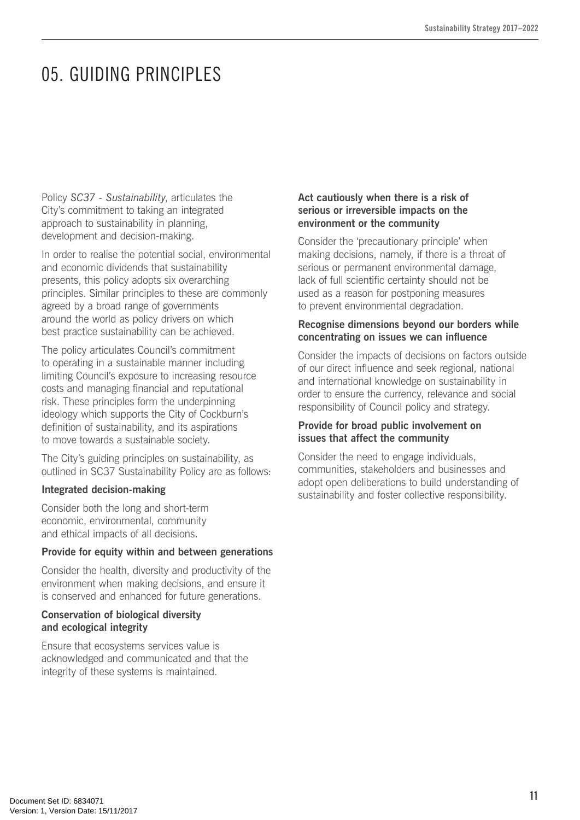### <span id="page-10-0"></span>05. GUIDING PRINCIPLES

Policy *SC37 - Sustainability*, articulates the City's commitment to taking an integrated approach to sustainability in planning, development and decision-making.

In order to realise the potential social, environmental and economic dividends that sustainability presents, this policy adopts six overarching principles. Similar principles to these are commonly agreed by a broad range of governments around the world as policy drivers on which best practice sustainability can be achieved.

The policy articulates Council's commitment to operating in a sustainable manner including limiting Council's exposure to increasing resource costs and managing financial and reputational risk. These principles form the underpinning ideology which supports the City of Cockburn's definition of sustainability, and its aspirations to move towards a sustainable society.

The City's guiding principles on sustainability, as outlined in SC37 Sustainability Policy are as follows:

#### **Integrated decision-making**

Consider both the long and short-term economic, environmental, community and ethical impacts of all decisions.

#### **Provide for equity within and between generations**

Consider the health, diversity and productivity of the environment when making decisions, and ensure it is conserved and enhanced for future generations.

#### **Conservation of biological diversity and ecological integrity**

Ensure that ecosystems services value is acknowledged and communicated and that the integrity of these systems is maintained.

#### **Act cautiously when there is a risk of serious or irreversible impacts on the environment or the community**

Consider the 'precautionary principle' when making decisions, namely, if there is a threat of serious or permanent environmental damage, lack of full scientific certainty should not be used as a reason for postponing measures to prevent environmental degradation.

#### **Recognise dimensions beyond our borders while concentrating on issues we can influence**

Consider the impacts of decisions on factors outside of our direct influence and seek regional, national and international knowledge on sustainability in order to ensure the currency, relevance and social responsibility of Council policy and strategy.

#### **Provide for broad public involvement on issues that affect the community**

Consider the need to engage individuals, communities, stakeholders and businesses and adopt open deliberations to build understanding of sustainability and foster collective responsibility.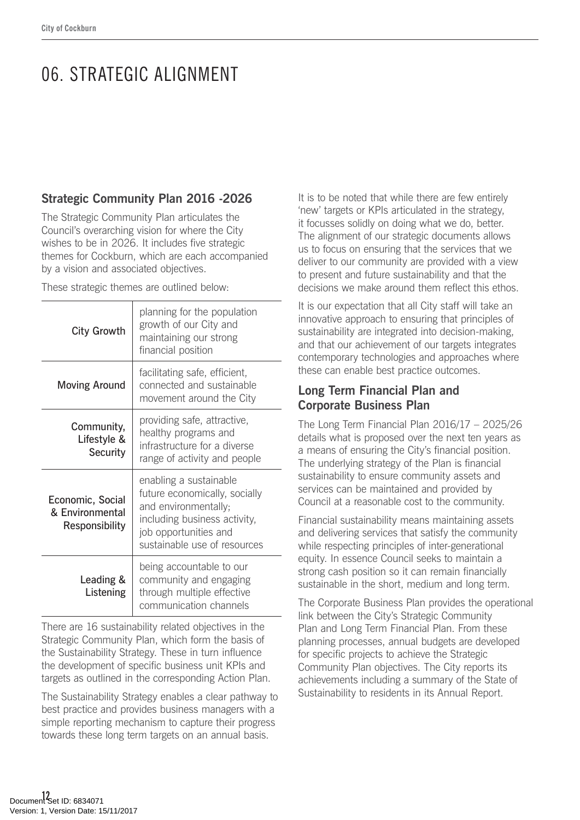### <span id="page-11-0"></span>06. STRATEGIC ALIGNMENT

#### **Strategic Community Plan 2016 -2026**

The Strategic Community Plan articulates the Council's overarching vision for where the City wishes to be in 2026. It includes five strategic themes for Cockburn, which are each accompanied by a vision and associated objectives.

These strategic themes are outlined below:

| City Growth                                           | planning for the population<br>growth of our City and<br>maintaining our strong<br>financial position                                                                    |
|-------------------------------------------------------|--------------------------------------------------------------------------------------------------------------------------------------------------------------------------|
| <b>Moving Around</b>                                  | facilitating safe, efficient,<br>connected and sustainable<br>movement around the City                                                                                   |
| Community,<br>Lifestyle &<br><b>Security</b>          | providing safe, attractive,<br>healthy programs and<br>infrastructure for a diverse<br>range of activity and people                                                      |
| Economic, Social<br>& Environmental<br>Responsibility | enabling a sustainable<br>future economically, socially<br>and environmentally;<br>including business activity,<br>job opportunities and<br>sustainable use of resources |
| Leading &<br>Listening                                | being accountable to our<br>community and engaging<br>through multiple effective<br>communication channels                                                               |

There are 16 sustainability related objectives in the Strategic Community Plan, which form the basis of the Sustainability Strategy. These in turn influence the development of specific business unit KPIs and targets as outlined in the corresponding Action Plan.

The Sustainability Strategy enables a clear pathway to best practice and provides business managers with a simple reporting mechanism to capture their progress towards these long term targets on an annual basis.

It is to be noted that while there are few entirely 'new' targets or KPIs articulated in the strategy, it focusses solidly on doing what we do, better. The alignment of our strategic documents allows us to focus on ensuring that the services that we deliver to our community are provided with a view to present and future sustainability and that the decisions we make around them reflect this ethos.

It is our expectation that all City staff will take an innovative approach to ensuring that principles of sustainability are integrated into decision-making, and that our achievement of our targets integrates contemporary technologies and approaches where these can enable best practice outcomes.

#### **Long Term Financial Plan and Corporate Business Plan**

The Long Term Financial Plan 2016/17 – 2025/26 details what is proposed over the next ten years as a means of ensuring the City's financial position. The underlying strategy of the Plan is financial sustainability to ensure community assets and services can be maintained and provided by Council at a reasonable cost to the community.

Financial sustainability means maintaining assets and delivering services that satisfy the community while respecting principles of inter-generational equity. In essence Council seeks to maintain a strong cash position so it can remain financially sustainable in the short, medium and long term.

The Corporate Business Plan provides the operational link between the City's Strategic Community Plan and Long Term Financial Plan. From these planning processes, annual budgets are developed for specific projects to achieve the Strategic Community Plan objectives. The City reports its achievements including a summary of the State of Sustainability to residents in its Annual Report.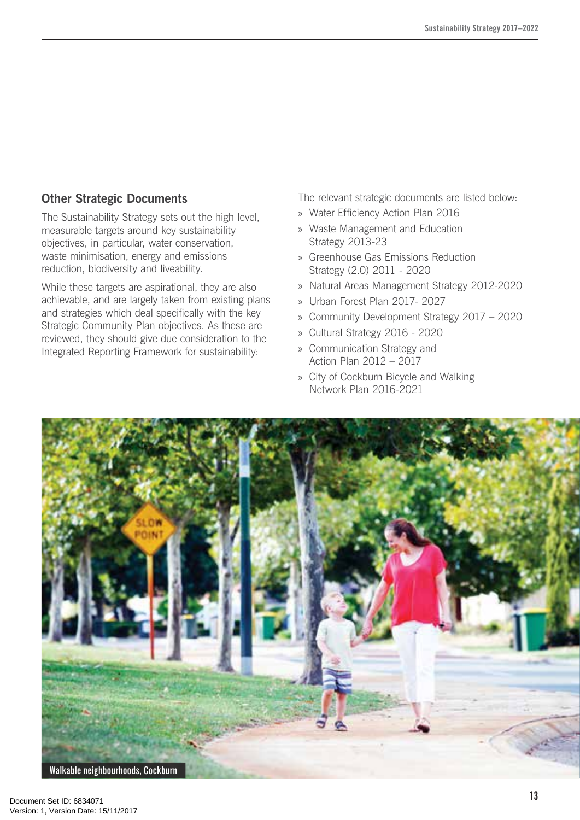#### **Other Strategic Documents**

The Sustainability Strategy sets out the high level, measurable targets around key sustainability objectives, in particular, water conservation, waste minimisation, energy and emissions reduction, biodiversity and liveability.

While these targets are aspirational, they are also achievable, and are largely taken from existing plans and strategies which deal specifically with the key Strategic Community Plan objectives. As these are reviewed, they should give due consideration to the Integrated Reporting Framework for sustainability:

The relevant strategic documents are listed below:

- » Water Efficiency Action Plan 2016
- » Waste Management and Education Strategy 2013-23
- » Greenhouse Gas Emissions Reduction Strategy (2.0) 2011 - 2020
- » Natural Areas Management Strategy 2012-2020
- » Urban Forest Plan 2017- 2027
- » Community Development Strategy 2017 2020
- » Cultural Strategy 2016 2020
- » Communication Strategy and Action Plan 2012 – 2017
- » City of Cockburn Bicycle and Walking Network Plan 2016-2021

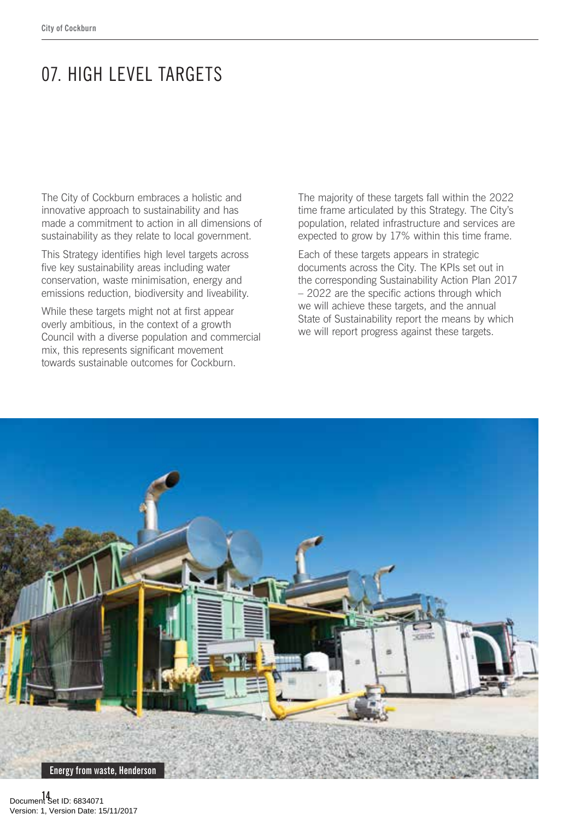### <span id="page-13-0"></span>07. HIGH LEVEL TARGETS

The City of Cockburn embraces a holistic and innovative approach to sustainability and has made a commitment to action in all dimensions of sustainability as they relate to local government.

This Strategy identifies high level targets across five key sustainability areas including water conservation, waste minimisation, energy and emissions reduction, biodiversity and liveability.

While these targets might not at first appear overly ambitious, in the context of a growth Council with a diverse population and commercial mix, this represents significant movement towards sustainable outcomes for Cockburn.

The majority of these targets fall within the 2022 time frame articulated by this Strategy. The City's population, related infrastructure and services are expected to grow by 17% within this time frame.

Each of these targets appears in strategic documents across the City. The KPIs set out in the corresponding Sustainability Action Plan 2017 – 2022 are the specific actions through which we will achieve these targets, and the annual State of Sustainability report the means by which we will report progress against these targets.



Document Set ID: 6834071 Version: 1, Version Date: 15/11/2017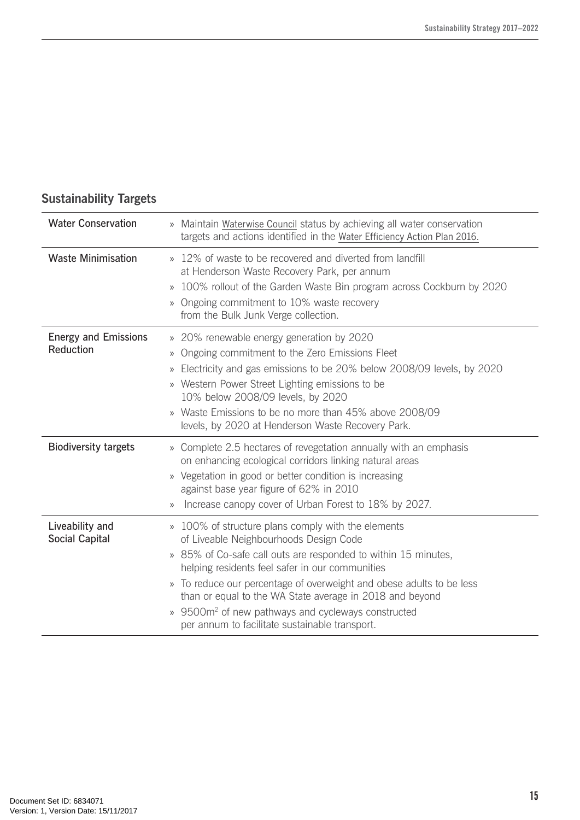### **Sustainability Targets**

| <b>Water Conservation</b>                | Maintain Waterwise Council status by achieving all water conservation<br>$\mathcal{Y}$<br>targets and actions identified in the Water Efficiency Action Plan 2016.                                                                                                                                                                                                                                                                                                        |
|------------------------------------------|---------------------------------------------------------------------------------------------------------------------------------------------------------------------------------------------------------------------------------------------------------------------------------------------------------------------------------------------------------------------------------------------------------------------------------------------------------------------------|
| <b>Waste Minimisation</b>                | 12% of waste to be recovered and diverted from landfill<br>$\gg$<br>at Henderson Waste Recovery Park, per annum<br>100% rollout of the Garden Waste Bin program across Cockburn by 2020<br>$\mathcal{Y}$<br>Ongoing commitment to 10% waste recovery<br>$\rangle$<br>from the Bulk Junk Verge collection.                                                                                                                                                                 |
| <b>Energy and Emissions</b><br>Reduction | » 20% renewable energy generation by 2020<br>Ongoing commitment to the Zero Emissions Fleet<br>$\rangle$<br>Electricity and gas emissions to be 20% below 2008/09 levels, by 2020<br>$\rangle$<br>» Western Power Street Lighting emissions to be<br>10% below 2008/09 levels, by 2020<br>Waste Emissions to be no more than 45% above 2008/09<br>levels, by 2020 at Henderson Waste Recovery Park.                                                                       |
| <b>Biodiversity targets</b>              | » Complete 2.5 hectares of revegetation annually with an emphasis<br>on enhancing ecological corridors linking natural areas<br>» Vegetation in good or better condition is increasing<br>against base year figure of 62% in 2010<br>Increase canopy cover of Urban Forest to 18% by 2027.<br>$\rangle$                                                                                                                                                                   |
| Liveability and<br><b>Social Capital</b> | » 100% of structure plans comply with the elements<br>of Liveable Neighbourhoods Design Code<br>» 85% of Co-safe call outs are responded to within 15 minutes,<br>helping residents feel safer in our communities<br>» To reduce our percentage of overweight and obese adults to be less<br>than or equal to the WA State average in 2018 and beyond<br>» 9500m <sup>2</sup> of new pathways and cycleways constructed<br>per annum to facilitate sustainable transport. |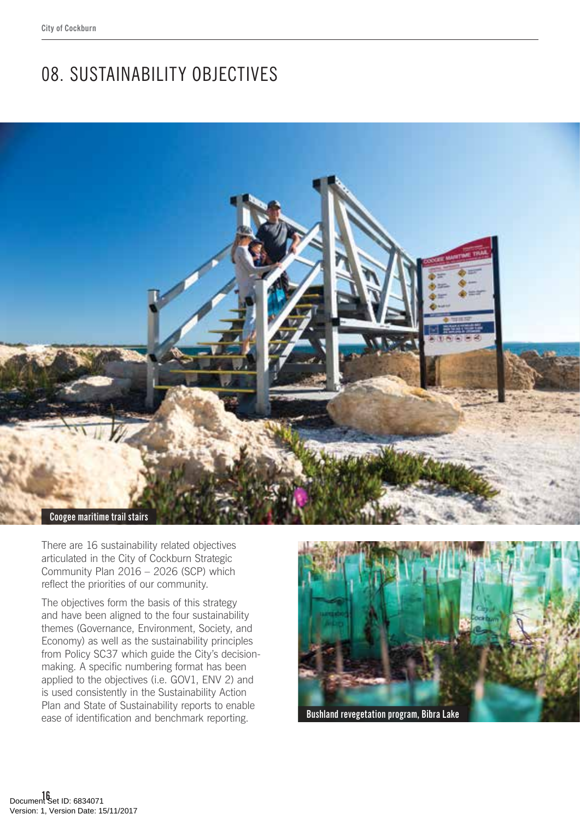### <span id="page-15-0"></span>08. SUSTAINABILITY OBJECTIVES



There are 16 sustainability related objectives articulated in the City of Cockburn Strategic Community Plan 2016 – 2026 (SCP) which reflect the priorities of our community.

The objectives form the basis of this strategy and have been aligned to the four sustainability themes (Governance, Environment, Society, and Economy) as well as the sustainability principles from Policy SC37 which guide the City's decisionmaking. A specific numbering format has been applied to the objectives (i.e. GOV1, ENV 2) and is used consistently in the Sustainability Action Plan and State of Sustainability reports to enable ease of identification and benchmark reporting.



Bushland revegetation program, Bibra Lake

**16**<br>**16834071** Document Set ID: 6834071 Version: 1, Version Date: 15/11/2017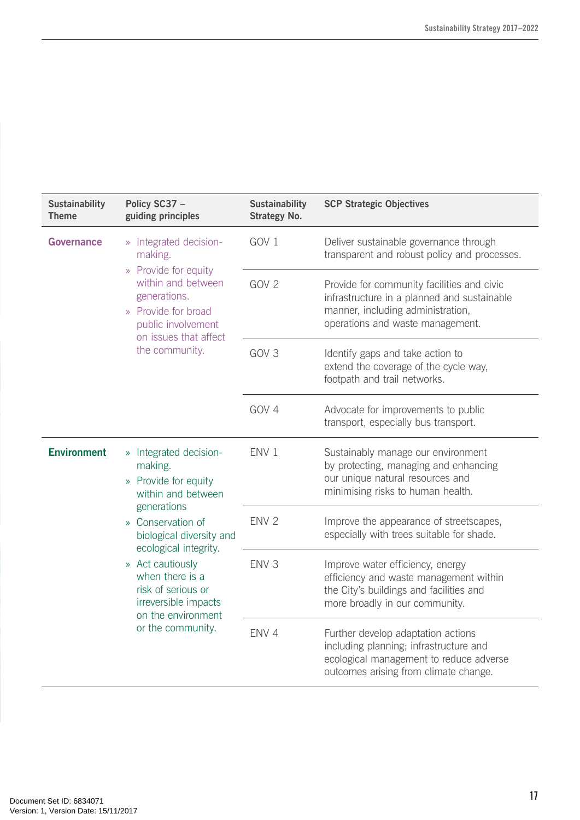| <b>Sustainability</b><br><b>Theme</b>                                                                                                                                                                                | Policy SC37 -<br>guiding principles                                                                     | <b>Sustainability</b><br><b>Strategy No.</b>                                                                                                         | <b>SCP Strategic Objectives</b>                                                                                                                                    |
|----------------------------------------------------------------------------------------------------------------------------------------------------------------------------------------------------------------------|---------------------------------------------------------------------------------------------------------|------------------------------------------------------------------------------------------------------------------------------------------------------|--------------------------------------------------------------------------------------------------------------------------------------------------------------------|
| » Integrated decision-<br>Governance<br>making.<br>» Provide for equity<br>within and between<br>generations.<br>Provide for broad<br>$\mathcal{D}$<br>public involvement<br>on issues that affect<br>the community. |                                                                                                         | GOV <sub>1</sub>                                                                                                                                     | Deliver sustainable governance through<br>transparent and robust policy and processes.                                                                             |
|                                                                                                                                                                                                                      |                                                                                                         | GOV <sub>2</sub>                                                                                                                                     | Provide for community facilities and civic<br>infrastructure in a planned and sustainable<br>manner, including administration,<br>operations and waste management. |
|                                                                                                                                                                                                                      | GOV <sub>3</sub>                                                                                        | Identify gaps and take action to<br>extend the coverage of the cycle way,<br>footpath and trail networks.                                            |                                                                                                                                                                    |
|                                                                                                                                                                                                                      |                                                                                                         | GOV <sub>4</sub>                                                                                                                                     | Advocate for improvements to public<br>transport, especially bus transport.                                                                                        |
| <b>Environment</b><br>» Integrated decision-<br>making.<br>Provide for equity<br>$\mathcal{V}$<br>within and between                                                                                                 | ENV <sub>1</sub>                                                                                        | Sustainably manage our environment<br>by protecting, managing and enhancing<br>our unique natural resources and<br>minimising risks to human health. |                                                                                                                                                                    |
|                                                                                                                                                                                                                      | generations<br>» Conservation of<br>biological diversity and<br>ecological integrity.                   | ENV <sub>2</sub>                                                                                                                                     | Improve the appearance of streetscapes,<br>especially with trees suitable for shade.                                                                               |
|                                                                                                                                                                                                                      | » Act cautiously<br>when there is a<br>risk of serious or<br>irreversible impacts<br>on the environment | ENV <sub>3</sub>                                                                                                                                     | Improve water efficiency, energy<br>efficiency and waste management within<br>the City's buildings and facilities and<br>more broadly in our community.            |
|                                                                                                                                                                                                                      | or the community.                                                                                       | ENV <sub>4</sub>                                                                                                                                     | Further develop adaptation actions<br>including planning; infrastructure and<br>ecological management to reduce adverse<br>outcomes arising from climate change.   |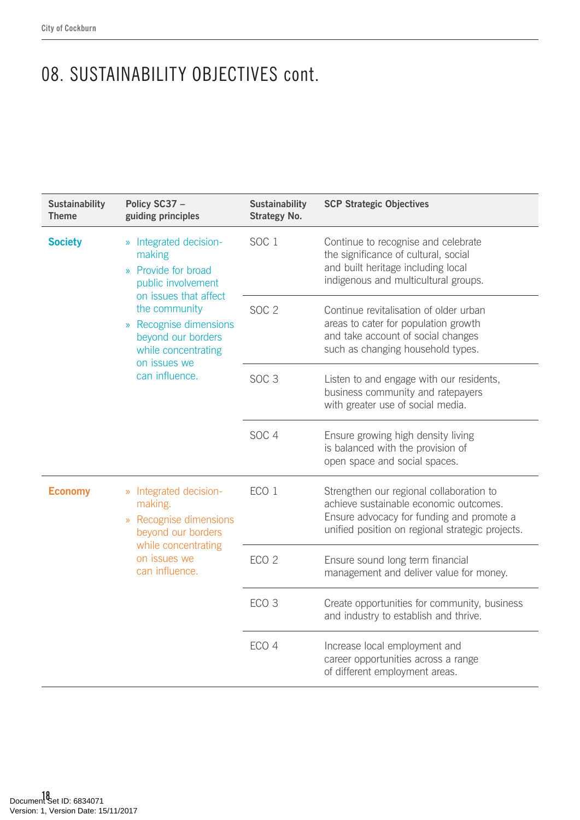### 08. SUSTAINABILITY OBJECTIVES cont.

| <b>Sustainability</b><br><b>Theme</b>                                                                                                                                                                                                                          | Policy SC37 -<br>guiding principles                                                                                                                       | <b>Sustainability</b><br><b>Strategy No.</b>                                                                       | <b>SCP Strategic Objectives</b>                                                                                                                                                     |
|----------------------------------------------------------------------------------------------------------------------------------------------------------------------------------------------------------------------------------------------------------------|-----------------------------------------------------------------------------------------------------------------------------------------------------------|--------------------------------------------------------------------------------------------------------------------|-------------------------------------------------------------------------------------------------------------------------------------------------------------------------------------|
| <b>Society</b><br>Integrated decision-<br>making<br>Provide for broad<br>$\mathbf{v}$<br>public involvement<br>on issues that affect<br>the community<br>» Recognise dimensions<br>beyond our borders<br>while concentrating<br>on issues we<br>can influence. |                                                                                                                                                           | SOC <sub>1</sub>                                                                                                   | Continue to recognise and celebrate<br>the significance of cultural, social<br>and built heritage including local<br>indigenous and multicultural groups.                           |
|                                                                                                                                                                                                                                                                |                                                                                                                                                           | SOC <sub>2</sub>                                                                                                   | Continue revitalisation of older urban<br>areas to cater for population growth<br>and take account of social changes<br>such as changing household types.                           |
|                                                                                                                                                                                                                                                                | SOC <sub>3</sub>                                                                                                                                          | Listen to and engage with our residents,<br>business community and ratepayers<br>with greater use of social media. |                                                                                                                                                                                     |
|                                                                                                                                                                                                                                                                |                                                                                                                                                           | SOC <sub>4</sub>                                                                                                   | Ensure growing high density living<br>is balanced with the provision of<br>open space and social spaces.                                                                            |
| <b>Economy</b>                                                                                                                                                                                                                                                 | Integrated decision-<br>$\mathcal{D}$<br>making.<br>» Recognise dimensions<br>beyond our borders<br>while concentrating<br>on issues we<br>can influence. | ECO <sub>1</sub>                                                                                                   | Strengthen our regional collaboration to<br>achieve sustainable economic outcomes.<br>Ensure advocacy for funding and promote a<br>unified position on regional strategic projects. |
|                                                                                                                                                                                                                                                                |                                                                                                                                                           | ECO <sub>2</sub>                                                                                                   | Ensure sound long term financial<br>management and deliver value for money.                                                                                                         |
|                                                                                                                                                                                                                                                                |                                                                                                                                                           | ECO <sub>3</sub>                                                                                                   | Create opportunities for community, business<br>and industry to establish and thrive.                                                                                               |
|                                                                                                                                                                                                                                                                |                                                                                                                                                           | ECO <sub>4</sub>                                                                                                   | Increase local employment and<br>career opportunities across a range<br>of different employment areas.                                                                              |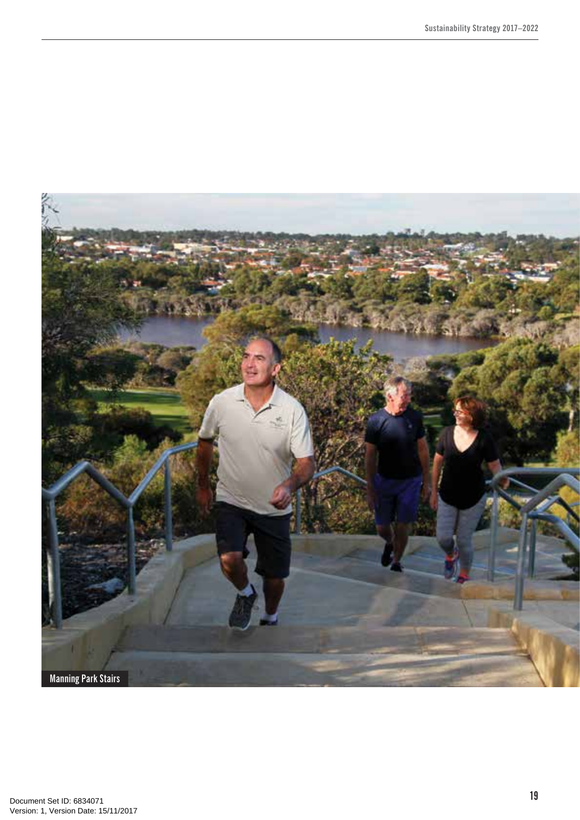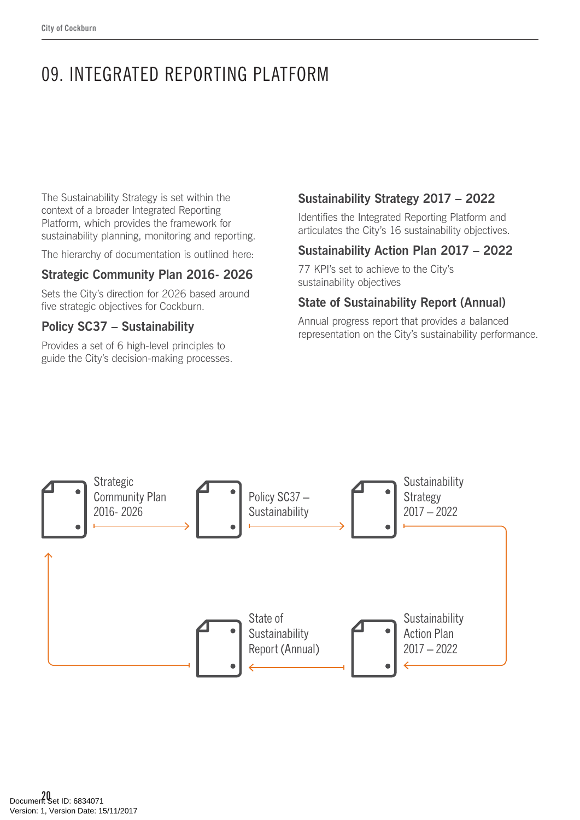### <span id="page-19-0"></span>09. INTEGRATED REPORTING PLATFORM

The Sustainability Strategy is set within the context of a broader Integrated Reporting Platform, which provides the framework for sustainability planning, monitoring and reporting.

The hierarchy of documentation is outlined here:

#### **Strategic Community Plan 2016- 2026**

Sets the City's direction for 2026 based around five strategic objectives for Cockburn.

#### **Policy SC37 – Sustainability**

Provides a set of 6 high-level principles to guide the City's decision-making processes.

#### **Sustainability Strategy 2017 – 2022**

Identifies the Integrated Reporting Platform and articulates the City's 16 sustainability objectives.

#### **Sustainability Action Plan 2017 – 2022**

77 KPI's set to achieve to the City's sustainability objectives

#### **State of Sustainability Report (Annual)**

Annual progress report that provides a balanced representation on the City's sustainability performance.

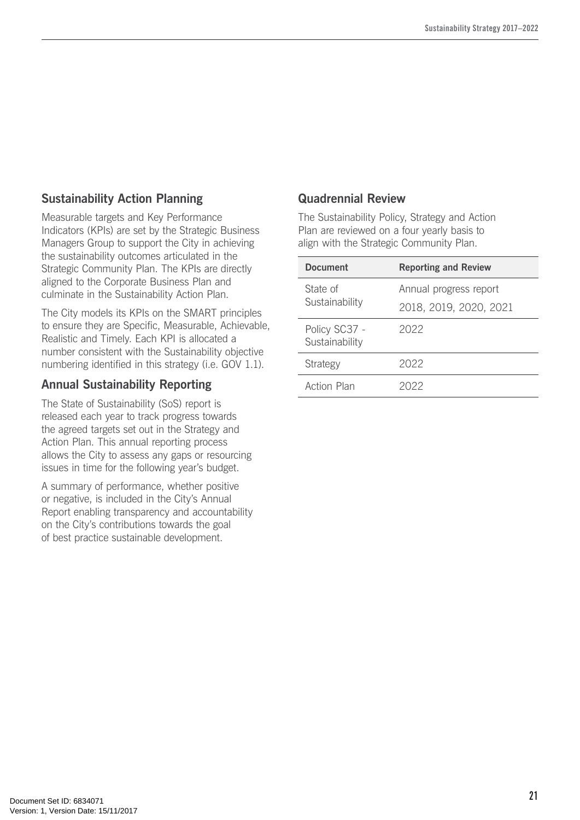#### **Sustainability Action Planning**

Measurable targets and Key Performance Indicators (KPIs) are set by the Strategic Business Managers Group to support the City in achieving the sustainability outcomes articulated in the Strategic Community Plan. The KPIs are directly aligned to the Corporate Business Plan and culminate in the Sustainability Action Plan.

The City models its KPIs on the SMART principles to ensure they are Specific, Measurable, Achievable, Realistic and Timely. Each KPI is allocated a number consistent with the Sustainability objective numbering identified in this strategy (i.e. GOV 1.1).

#### **Annual Sustainability Reporting**

The State of Sustainability (SoS) report is released each year to track progress towards the agreed targets set out in the Strategy and Action Plan. This annual reporting process allows the City to assess any gaps or resourcing issues in time for the following year's budget.

A summary of performance, whether positive or negative, is included in the City's Annual Report enabling transparency and accountability on the City's contributions towards the goal of best practice sustainable development.

#### **Quadrennial Review**

The Sustainability Policy, Strategy and Action Plan are reviewed on a four yearly basis to align with the Strategic Community Plan.

| Document                        | <b>Reporting and Review</b>                      |
|---------------------------------|--------------------------------------------------|
| State of<br>Sustainability      | Annual progress report<br>2018, 2019, 2020, 2021 |
| Policy SC37 -<br>Sustainability | 2022                                             |
| Strategy                        | 2022                                             |
| Action Plan                     | 2022                                             |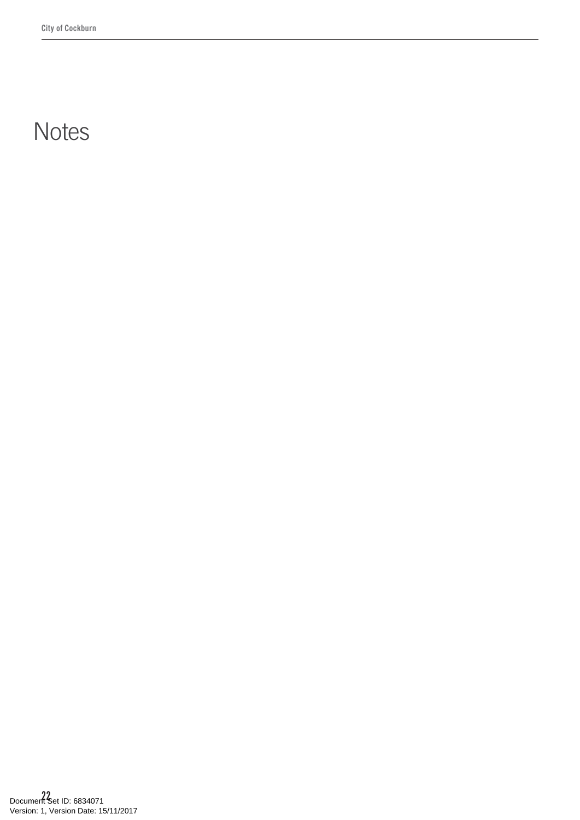## **Notes**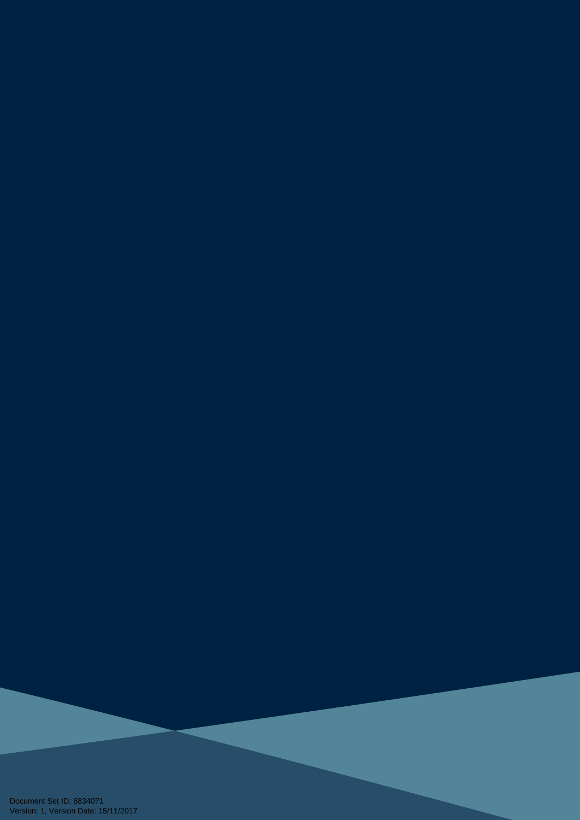Document Set ID: 6834071<br>Version: 1, Version Date: 15/11/2017